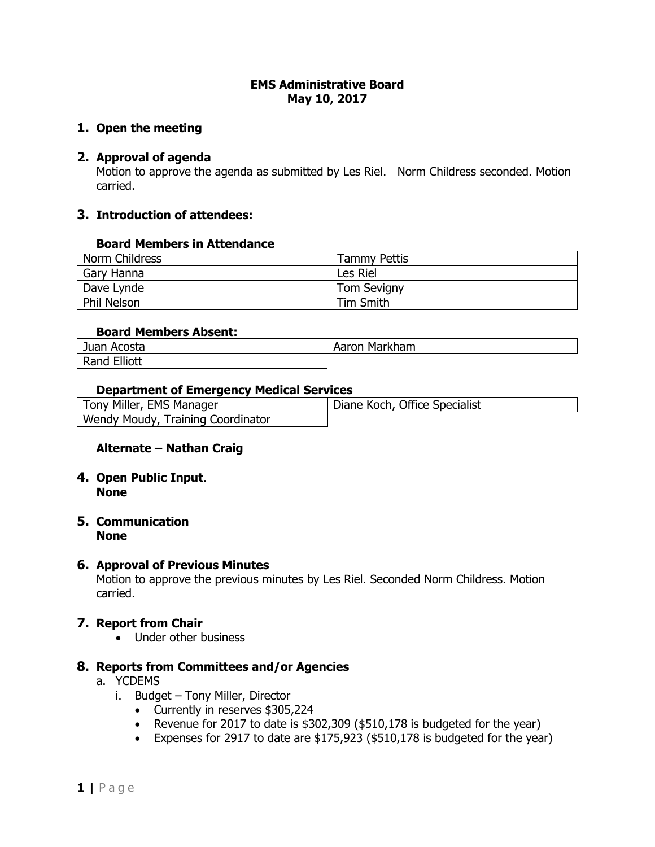### **EMS Administrative Board May 10, 2017**

## **1. Open the meeting**

## **2. Approval of agenda**

Motion to approve the agenda as submitted by Les Riel. Norm Childress seconded. Motion carried.

## **3. Introduction of attendees:**

#### **Board Members in Attendance**

| Norm Childress     | <b>Tammy Pettis</b> |
|--------------------|---------------------|
| Gary Hanna         | Les Riel            |
| Dave Lynde         | <b>Tom Sevigny</b>  |
| <b>Phil Nelson</b> | Tim Smith           |

## **Board Members Absent:**

| Acosta          | Markham |
|-----------------|---------|
| Juan            | Aaron   |
| Elliott<br>Rang |         |

#### **Department of Emergency Medical Services**

| Tony Miller, EMS Manager          | Diane Koch, Office Specialist |
|-----------------------------------|-------------------------------|
| Wendy Moudy, Training Coordinator |                               |

## **Alternate – Nathan Craig**

**4. Open Public Input**. **None**

#### **5. Communication None**

## **6. Approval of Previous Minutes**

Motion to approve the previous minutes by Les Riel. Seconded Norm Childress. Motion carried.

## **7. Report from Chair**

• Under other business

## **8. Reports from Committees and/or Agencies**

- a. YCDEMS
	- i. Budget Tony Miller, Director
		- Currently in reserves \$305,224
		- Revenue for 2017 to date is \$302,309 (\$510,178 is budgeted for the year)
		- Expenses for 2917 to date are \$175,923 (\$510,178 is budgeted for the year)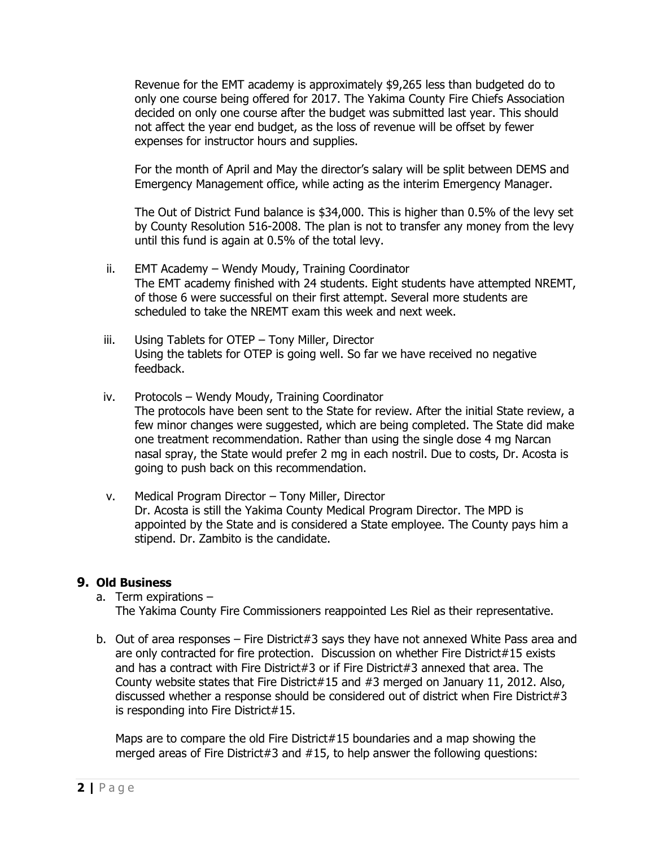Revenue for the EMT academy is approximately \$9,265 less than budgeted do to only one course being offered for 2017. The Yakima County Fire Chiefs Association decided on only one course after the budget was submitted last year. This should not affect the year end budget, as the loss of revenue will be offset by fewer expenses for instructor hours and supplies.

For the month of April and May the director's salary will be split between DEMS and Emergency Management office, while acting as the interim Emergency Manager.

The Out of District Fund balance is \$34,000. This is higher than 0.5% of the levy set by County Resolution 516-2008. The plan is not to transfer any money from the levy until this fund is again at 0.5% of the total levy.

- ii. EMT Academy Wendy Moudy, Training Coordinator The EMT academy finished with 24 students. Eight students have attempted NREMT, of those 6 were successful on their first attempt. Several more students are scheduled to take the NREMT exam this week and next week.
- iii. Using Tablets for OTEP Tony Miller, Director Using the tablets for OTEP is going well. So far we have received no negative feedback.
- iv. Protocols Wendy Moudy, Training Coordinator The protocols have been sent to the State for review. After the initial State review, a few minor changes were suggested, which are being completed. The State did make one treatment recommendation. Rather than using the single dose 4 mg Narcan nasal spray, the State would prefer 2 mg in each nostril. Due to costs, Dr. Acosta is going to push back on this recommendation.
- v. Medical Program Director Tony Miller, Director Dr. Acosta is still the Yakima County Medical Program Director. The MPD is appointed by the State and is considered a State employee. The County pays him a stipend. Dr. Zambito is the candidate.

# **9. Old Business**

a. Term expirations – The Yakima County Fire Commissioners reappointed Les Riel as their representative.

b. Out of area responses – Fire District#3 says they have not annexed White Pass area and are only contracted for fire protection. Discussion on whether Fire District#15 exists and has a contract with Fire District#3 or if Fire District#3 annexed that area. The County website states that Fire District#15 and #3 merged on January 11, 2012. Also, discussed whether a response should be considered out of district when Fire District#3 is responding into Fire District#15.

Maps are to compare the old Fire District#15 boundaries and a map showing the merged areas of Fire District#3 and #15, to help answer the following questions: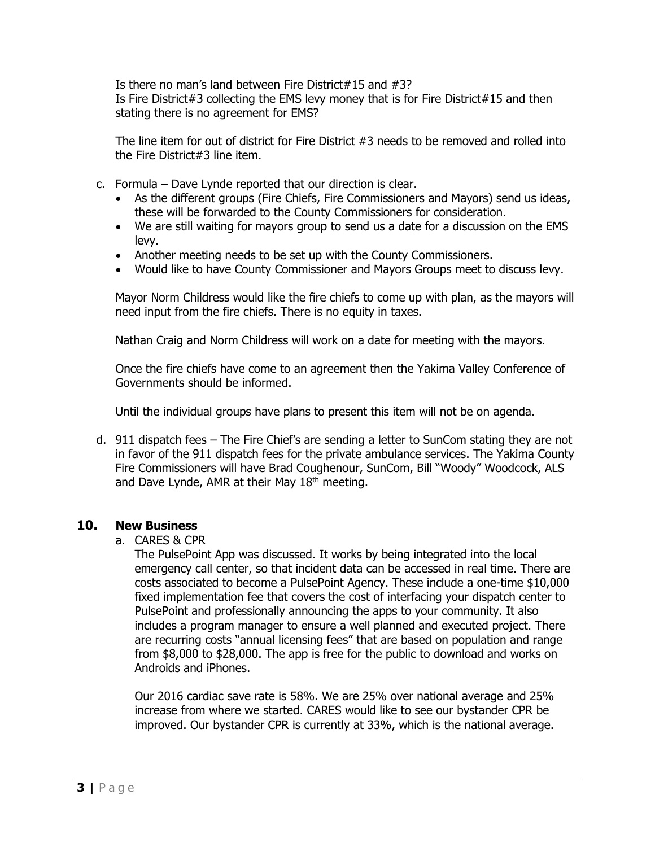Is there no man's land between Fire District#15 and #3? Is Fire District#3 collecting the EMS levy money that is for Fire District#15 and then stating there is no agreement for EMS?

The line item for out of district for Fire District #3 needs to be removed and rolled into the Fire District#3 line item.

- c. Formula Dave Lynde reported that our direction is clear.
	- As the different groups (Fire Chiefs, Fire Commissioners and Mayors) send us ideas, these will be forwarded to the County Commissioners for consideration.
	- We are still waiting for mayors group to send us a date for a discussion on the EMS levy.
	- Another meeting needs to be set up with the County Commissioners.
	- Would like to have County Commissioner and Mayors Groups meet to discuss levy.

Mayor Norm Childress would like the fire chiefs to come up with plan, as the mayors will need input from the fire chiefs. There is no equity in taxes.

Nathan Craig and Norm Childress will work on a date for meeting with the mayors.

Once the fire chiefs have come to an agreement then the Yakima Valley Conference of Governments should be informed.

Until the individual groups have plans to present this item will not be on agenda.

d. 911 dispatch fees – The Fire Chief's are sending a letter to SunCom stating they are not in favor of the 911 dispatch fees for the private ambulance services. The Yakima County Fire Commissioners will have Brad Coughenour, SunCom, Bill "Woody" Woodcock, ALS and Dave Lynde, AMR at their May  $18<sup>th</sup>$  meeting.

# **10. New Business**

a. CARES & CPR

The PulsePoint App was discussed. It works by being integrated into the local emergency call center, so that incident data can be accessed in real time. There are costs associated to become a PulsePoint Agency. These include a one-time \$10,000 fixed implementation fee that covers the cost of interfacing your dispatch center to PulsePoint and professionally announcing the apps to your community. It also includes a program manager to ensure a well planned and executed project. There are recurring costs "annual licensing fees" that are based on population and range from \$8,000 to \$28,000. The app is free for the public to download and works on Androids and iPhones.

Our 2016 cardiac save rate is 58%. We are 25% over national average and 25% increase from where we started. CARES would like to see our bystander CPR be improved. Our bystander CPR is currently at 33%, which is the national average.